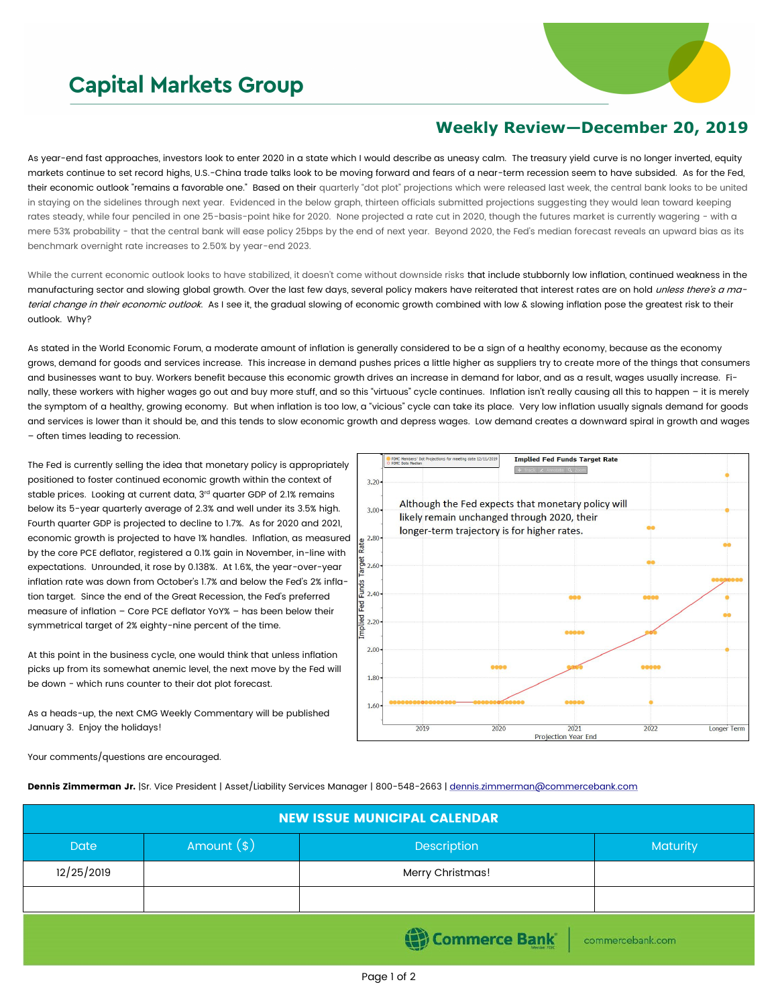## **Capital Markets Group**



## **Weekly Review—December 20, 2019**

As year-end fast approaches, investors look to enter 2020 in a state which I would describe as uneasy calm. The treasury yield curve is no longer inverted, equity markets continue to set record highs, U.S.-China trade talks look to be moving forward and fears of a near-term recession seem to have subsided. As for the Fed, their economic outlook "remains a favorable one." Based on their quarterly "dot plot" projections which were released last week, the central bank looks to be united in staying on the sidelines through next year. Evidenced in the below graph, thirteen officials submitted projections suggesting they would lean toward keeping rates steady, while four penciled in one 25-basis-point hike for 2020. None projected a rate cut in 2020, though the futures market is currently wagering - with a mere 53% probability - that the central bank will ease policy 25bps by the end of next year. Beyond 2020, the Fed's median forecast reveals an upward bias as its benchmark overnight rate increases to 2.50% by year-end 2023.

While the current economic outlook looks to have stabilized, it doesn't come without downside risks that include stubbornly low inflation, continued weakness in the manufacturing sector and slowing global growth. Over the last few days, several policy makers have reiterated that interest rates are on hold *unless there's a ma*terial change in their economic outlook. As I see it, the gradual slowing of economic growth combined with low & slowing inflation pose the greatest risk to their outlook. Why?

As stated in the World Economic Forum, a moderate amount of inflation is generally considered to be a sign of a healthy economy, because as the economy grows, demand for goods and services increase. This increase in demand pushes prices a little higher as suppliers try to create more of the things that consumers and businesses want to buy. Workers benefit because this economic growth drives an increase in demand for labor, and as a result, wages usually increase. Finally, these workers with higher wages go out and buy more stuff, and so this "virtuous" cycle continues. Inflation isn't really causing all this to happen – it is merely the symptom of a healthy, growing economy. But when inflation is too low, a "vicious" cycle can take its place. Very low inflation usually signals demand for goods and services is lower than it should be, and this tends to slow economic growth and depress wages. Low demand creates a downward spiral in growth and wages – often times leading to recession.

The Fed is currently selling the idea that monetary policy is appropriately positioned to foster continued economic growth within the context of stable prices. Looking at current data, 3<sup>rd</sup> quarter GDP of 2.1% remains below its 5-year quarterly average of 2.3% and well under its 3.5% high. Fourth quarter GDP is projected to decline to 1.7%. As for 2020 and 2021, economic growth is projected to have 1% handles. Inflation, as measured by the core PCE deflator, registered a 0.1% gain in November, in-line with expectations. Unrounded, it rose by 0.138%. At 1.6%, the year-over-year inflation rate was down from October's 1.7% and below the Fed's 2% inflation target. Since the end of the Great Recession, the Fed's preferred measure of inflation – Core PCE deflator YoY% – has been below their symmetrical target of 2% eighty-nine percent of the time.

At this point in the business cycle, one would think that unless inflation picks up from its somewhat anemic level, the next move by the Fed will be down - which runs counter to their dot plot forecast.

As a heads-up, the next CMG Weekly Commentary will be published January 3. Enjoy the holidays!



Your comments/questions are encouraged.

Dennis Zimmerman Jr. |Sr. Vice President | Asset/Liability Services Manager | 800-548-2663 | [dennis.zimmerman@commercebank.com](mailto:Dennis.Zimmerman@commercebank.com)

| <b>NEW ISSUE MUNICIPAL CALENDAR</b> |              |                      |                  |  |  |
|-------------------------------------|--------------|----------------------|------------------|--|--|
| <b>Date</b>                         | Amount $(*)$ | Description          | Maturity         |  |  |
| 12/25/2019                          |              | Merry Christmas!     |                  |  |  |
|                                     |              |                      |                  |  |  |
|                                     |              | <b>Commerce Bank</b> | commercebank.com |  |  |